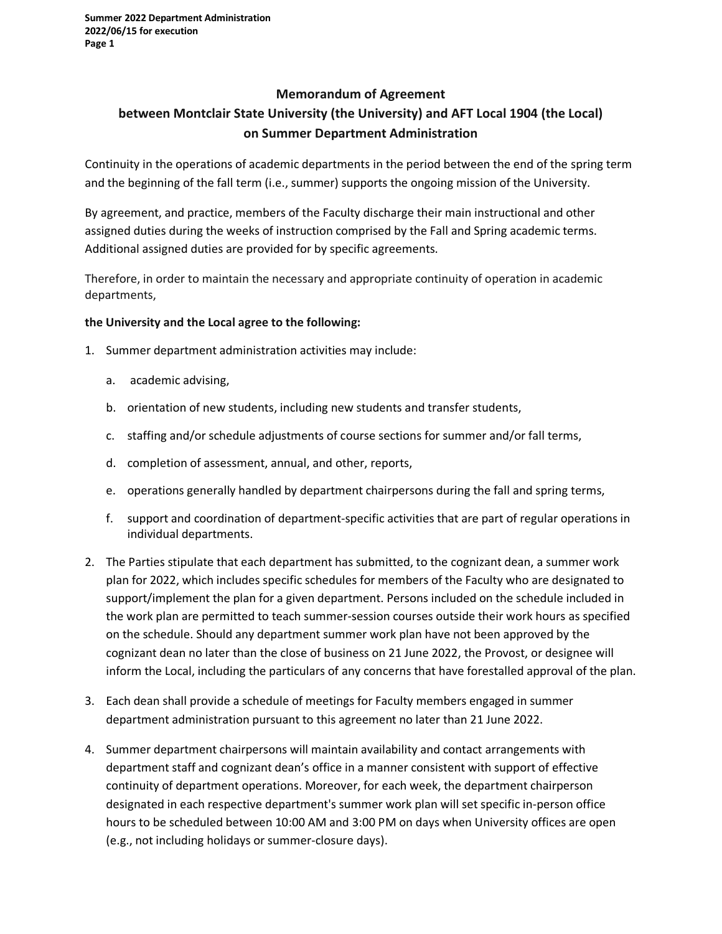## **Memorandum of Agreement**

## **between Montclair State University (the University) and AFT Local 1904 (the Local) on Summer Department Administration**

Continuity in the operations of academic departments in the period between the end of the spring term and the beginning of the fall term (i.e., summer) supports the ongoing mission of the University.

By agreement, and practice, members of the Faculty discharge their main instructional and other assigned duties during the weeks of instruction comprised by the Fall and Spring academic terms. Additional assigned duties are provided for by specific agreements.

Therefore, in order to maintain the necessary and appropriate continuity of operation in academic departments,

## **the University and the Local agree to the following:**

- 1. Summer department administration activities may include:
	- a. academic advising,
	- b. orientation of new students, including new students and transfer students,
	- c. staffing and/or schedule adjustments of course sections for summer and/or fall terms,
	- d. completion of assessment, annual, and other, reports,
	- e. operations generally handled by department chairpersons during the fall and spring terms,
	- f. support and coordination of department-specific activities that are part of regular operations in individual departments.
- 2. The Parties stipulate that each department has submitted, to the cognizant dean, a summer work plan for 2022, which includes specific schedules for members of the Faculty who are designated to support/implement the plan for a given department. Persons included on the schedule included in the work plan are permitted to teach summer-session courses outside their work hours as specified on the schedule. Should any department summer work plan have not been approved by the cognizant dean no later than the close of business on 21 June 2022, the Provost, or designee will inform the Local, including the particulars of any concerns that have forestalled approval of the plan.
- 3. Each dean shall provide a schedule of meetings for Faculty members engaged in summer department administration pursuant to this agreement no later than 21 June 2022.
- 4. Summer department chairpersons will maintain availability and contact arrangements with department staff and cognizant dean's office in a manner consistent with support of effective continuity of department operations. Moreover, for each week, the department chairperson designated in each respective department's summer work plan will set specific in-person office hours to be scheduled between 10:00 AM and 3:00 PM on days when University offices are open (e.g., not including holidays or summer-closure days).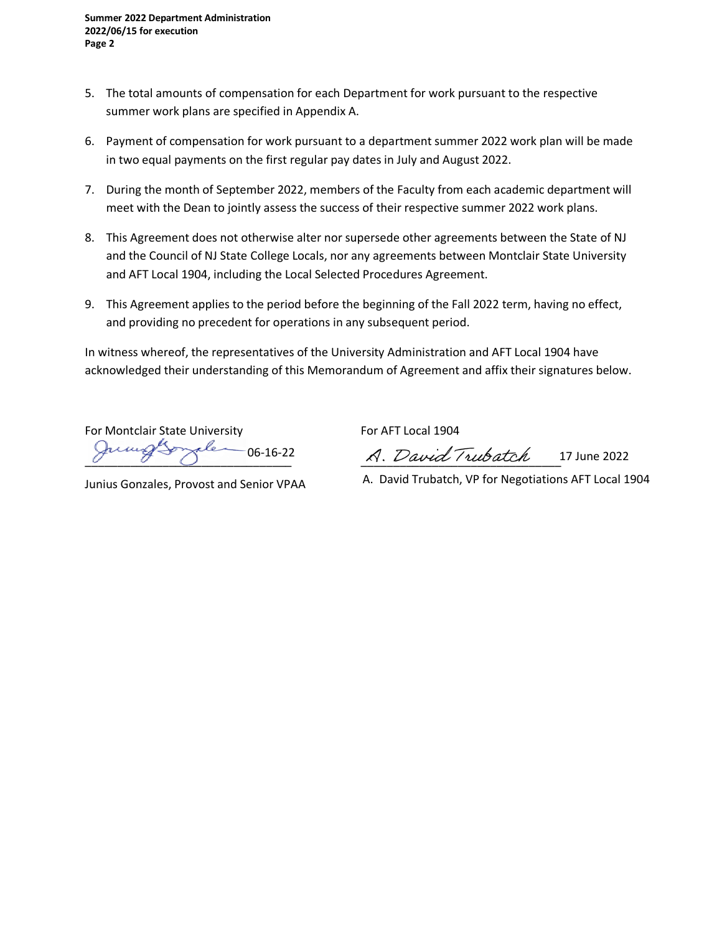- 5. The total amounts of compensation for each Department for work pursuant to the respective summer work plans are specified in Appendix A.
- 6. Payment of compensation for work pursuant to a department summer 2022 work plan will be made in two equal payments on the first regular pay dates in July and August 2022.
- 7. During the month of September 2022, members of the Faculty from each academic department will meet with the Dean to jointly assess the success of their respective summer 2022 work plans.
- 8. This Agreement does not otherwise alter nor supersede other agreements between the State of NJ and the Council of NJ State College Locals, nor any agreements between Montclair State University and AFT Local 1904, including the Local Selected Procedures Agreement.
- 9. This Agreement applies to the period before the beginning of the Fall 2022 term, having no effect, and providing no precedent for operations in any subsequent period.

In witness whereof, the representatives of the University Administration and AFT Local 1904 have acknowledged their understanding of this Memorandum of Agreement and affix their signatures below.

For Montclair State University For AFT Local 1904 06-16-22

\_\_\_\_\_\_\_\_\_\_\_\_\_\_\_\_\_\_\_\_\_\_\_\_\_\_\_\_\_\_\_\_ \_\_\_\_\_\_\_\_\_\_\_\_\_\_\_\_\_\_\_\_\_\_\_\_\_\_\_\_\_\_\_ 17 June 2022

Junius Gonzales, Provost and Senior VPAA

A. David Trubatch, VP for Negotiations AFT Local 1904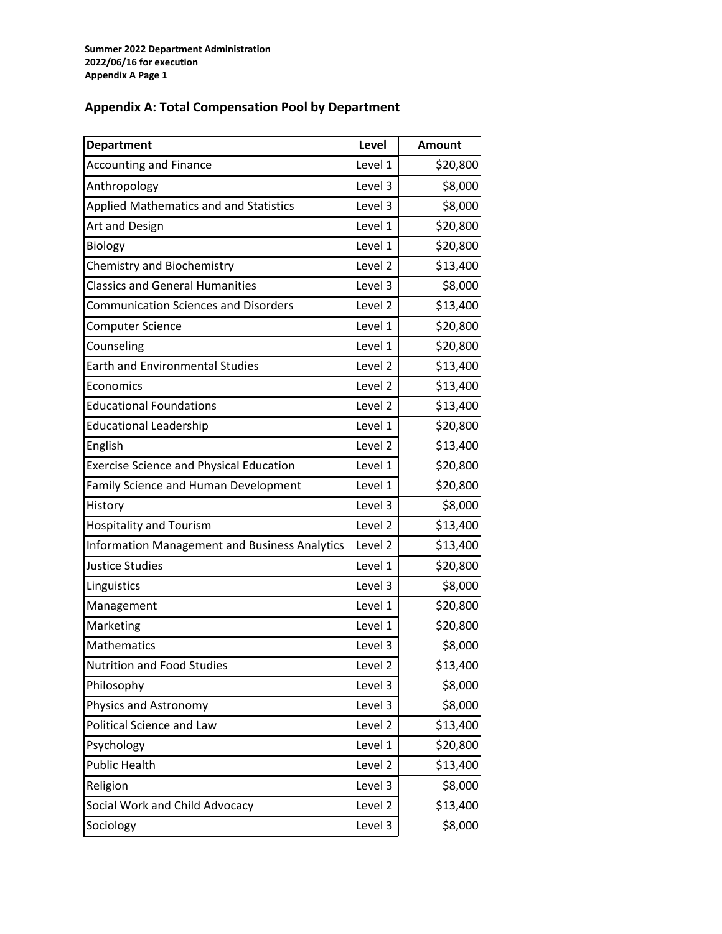## **Appendix A: Total Compensation Pool by Department**

| <b>Department</b>                                    | Level   | <b>Amount</b> |
|------------------------------------------------------|---------|---------------|
| <b>Accounting and Finance</b>                        | Level 1 | \$20,800      |
| Anthropology                                         | Level 3 | \$8,000       |
| <b>Applied Mathematics and and Statistics</b>        | Level 3 | \$8,000       |
| Art and Design                                       | Level 1 | \$20,800      |
| <b>Biology</b>                                       | Level 1 | \$20,800      |
| Chemistry and Biochemistry                           | Level 2 | \$13,400      |
| <b>Classics and General Humanities</b>               | Level 3 | \$8,000       |
| <b>Communication Sciences and Disorders</b>          | Level 2 | \$13,400      |
| <b>Computer Science</b>                              | Level 1 | \$20,800      |
| Counseling                                           | Level 1 | \$20,800      |
| <b>Earth and Environmental Studies</b>               | Level 2 | \$13,400      |
| Economics                                            | Level 2 | \$13,400      |
| <b>Educational Foundations</b>                       | Level 2 | \$13,400      |
| <b>Educational Leadership</b>                        | Level 1 | \$20,800      |
| English                                              | Level 2 | \$13,400      |
| <b>Exercise Science and Physical Education</b>       | Level 1 | \$20,800      |
| Family Science and Human Development                 | Level 1 | \$20,800      |
| History                                              | Level 3 | \$8,000       |
| <b>Hospitality and Tourism</b>                       | Level 2 | \$13,400      |
| <b>Information Management and Business Analytics</b> | Level 2 | \$13,400      |
| <b>Justice Studies</b>                               | Level 1 | \$20,800      |
| Linguistics                                          | Level 3 | \$8,000       |
| Management                                           | Level 1 | \$20,800      |
| Marketing                                            | Level 1 | \$20,800      |
| Mathematics                                          | Level 3 | \$8,000       |
| Nutrition and Food Studies                           | Level 2 | \$13,400      |
| Philosophy                                           | Level 3 | \$8,000       |
| Physics and Astronomy                                | Level 3 | \$8,000       |
| <b>Political Science and Law</b>                     | Level 2 | \$13,400      |
| Psychology                                           | Level 1 | \$20,800      |
| <b>Public Health</b>                                 | Level 2 | \$13,400      |
| Religion                                             | Level 3 | \$8,000       |
| Social Work and Child Advocacy                       | Level 2 | \$13,400      |
| Sociology                                            | Level 3 | \$8,000       |